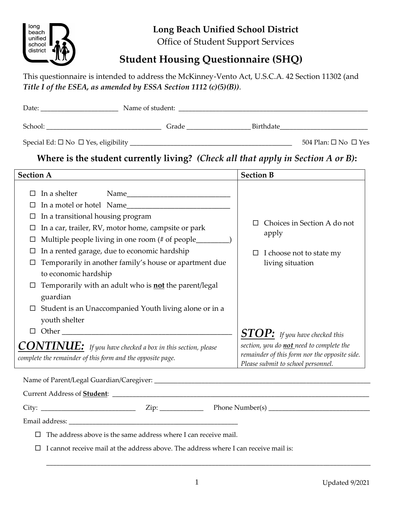

## **Long Beach Unified School District**

Office of Student Support Services

# **Student Housing Questionnaire (SHQ)**

This questionnaire is intended to address the McKinney-Vento Act, U.S.C.A. 42 Section 11302 (and *Title I of the ESEA, as amended by ESSA Section 1112 (c)(5)(B))*.

| Date:                                                                                                                                                                                                                         | Name of student:                                                                 |                  |                                      |
|-------------------------------------------------------------------------------------------------------------------------------------------------------------------------------------------------------------------------------|----------------------------------------------------------------------------------|------------------|--------------------------------------|
| School: The School School School School School School School School School School School School School School School School School School School School School School School School School School School School School School | Grade                                                                            |                  | <b>Birthdate Example 19</b>          |
|                                                                                                                                                                                                                               |                                                                                  |                  | 504 Plan: $\square$ No $\square$ Yes |
|                                                                                                                                                                                                                               | Where is the student currently living? (Check all that apply in Section A or B): |                  |                                      |
| Section A                                                                                                                                                                                                                     |                                                                                  | <b>Section R</b> |                                      |

| <b>Section A</b>                                                                                                                                                                                     | <b>Section B</b>                                                                                                                                                                                  |  |
|------------------------------------------------------------------------------------------------------------------------------------------------------------------------------------------------------|---------------------------------------------------------------------------------------------------------------------------------------------------------------------------------------------------|--|
| In a shelter<br>Name<br>In a motel or hotel Name<br>In a transitional housing program<br>In a car, trailer, RV, motor home, campsite or park<br>Multiple people living in one room (# of people_____ | Choices in Section A do not<br>apply                                                                                                                                                              |  |
| In a rented garage, due to economic hardship<br>Temporarily in another family's house or apartment due<br>to economic hardship                                                                       | I choose not to state my<br>$\Box$<br>living situation                                                                                                                                            |  |
| Temporarily with an adult who is <b>not</b> the parent/legal<br>guardian                                                                                                                             |                                                                                                                                                                                                   |  |
| Student is an Unaccompanied Youth living alone or in a<br>youth shelter<br>Other<br>$\Box$                                                                                                           |                                                                                                                                                                                                   |  |
| $CONTIME:$ If you have checked a box in this section, please<br>complete the remainder of this form and the opposite page.                                                                           | $\boldsymbol{STOP:}\ \textit{If you have checked this}$<br>section, you do <b>not</b> need to complete the<br>remainder of this form nor the opposite side.<br>Please submit to school personnel. |  |

Name of Parent/Legal Guardian/Caregiver: \_\_\_\_\_\_\_\_\_\_\_\_\_\_\_\_\_\_\_\_\_\_\_\_\_\_\_\_\_\_\_\_\_\_\_\_\_\_\_\_\_\_\_\_\_\_\_\_\_\_\_\_\_\_\_\_\_\_\_\_\_\_\_\_

Current Address of **Student**: \_\_\_\_\_\_\_\_\_\_\_\_\_\_\_\_\_\_\_\_\_\_\_\_\_\_\_\_\_\_\_\_\_\_\_\_\_\_\_\_\_\_\_\_\_\_\_\_\_\_\_\_\_\_\_\_\_\_\_\_\_\_\_\_\_\_\_\_\_\_\_\_\_\_\_\_

 $City:$   $\neg$   $\neg$   $\neg$   $\qquad$   $\qquad$   $\qquad$   $\qquad$   $\qquad$   $\qquad$   $\qquad$   $\qquad$   $\qquad$   $\qquad$   $\qquad$   $\qquad$   $\qquad$   $\qquad$   $\qquad$   $\qquad$   $\qquad$   $\qquad$   $\qquad$   $\qquad$   $\qquad$   $\qquad$   $\qquad$   $\qquad$   $\qquad$   $\qquad$   $\qquad$   $\qquad$   $\qquad$   $\qquad$   $\qquad$   $\qquad$   $\qquad$   $\q$ 

Email address: \_\_\_\_\_\_\_\_\_\_\_\_\_\_\_\_\_\_\_\_\_\_\_\_\_\_\_\_\_\_\_\_\_\_\_\_\_\_\_\_\_\_\_\_\_\_\_\_\_\_

 $\Box$  The address above is the same address where I can receive mail.

 $\Box$  I cannot receive mail at the address above. The address where I can receive mail is:

 $\Box$